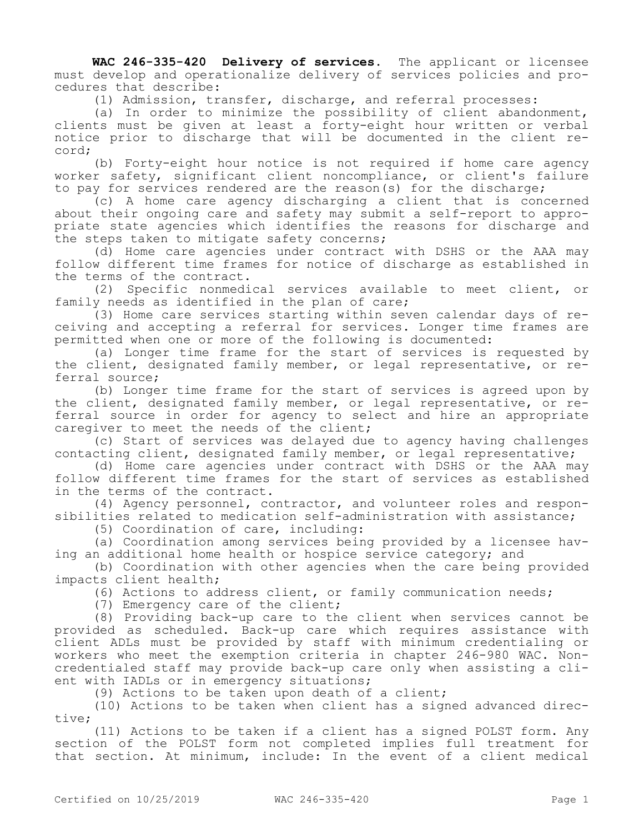**WAC 246-335-420 Delivery of services.** The applicant or licensee must develop and operationalize delivery of services policies and procedures that describe:

(1) Admission, transfer, discharge, and referral processes:

(a) In order to minimize the possibility of client abandonment, clients must be given at least a forty-eight hour written or verbal notice prior to discharge that will be documented in the client record;

(b) Forty-eight hour notice is not required if home care agency worker safety, significant client noncompliance, or client's failure to pay for services rendered are the reason(s) for the discharge;

(c) A home care agency discharging a client that is concerned about their ongoing care and safety may submit a self-report to appropriate state agencies which identifies the reasons for discharge and the steps taken to mitigate safety concerns;

(d) Home care agencies under contract with DSHS or the AAA may follow different time frames for notice of discharge as established in the terms of the contract.

(2) Specific nonmedical services available to meet client, or family needs as identified in the plan of care;

(3) Home care services starting within seven calendar days of receiving and accepting a referral for services. Longer time frames are permitted when one or more of the following is documented:

(a) Longer time frame for the start of services is requested by the client, designated family member, or legal representative, or referral source;

(b) Longer time frame for the start of services is agreed upon by the client, designated family member, or legal representative, or referral source in order for agency to select and hire an appropriate caregiver to meet the needs of the client;

(c) Start of services was delayed due to agency having challenges contacting client, designated family member, or legal representative;

(d) Home care agencies under contract with DSHS or the AAA may follow different time frames for the start of services as established in the terms of the contract.

(4) Agency personnel, contractor, and volunteer roles and responsibilities related to medication self-administration with assistance;

(5) Coordination of care, including:

(a) Coordination among services being provided by a licensee having an additional home health or hospice service category; and

(b) Coordination with other agencies when the care being provided impacts client health;

(6) Actions to address client, or family communication needs;

(7) Emergency care of the client;

(8) Providing back-up care to the client when services cannot be provided as scheduled. Back-up care which requires assistance with client ADLs must be provided by staff with minimum credentialing or workers who meet the exemption criteria in chapter 246-980 WAC. Noncredentialed staff may provide back-up care only when assisting a client with IADLs or in emergency situations;

(9) Actions to be taken upon death of a client;

(10) Actions to be taken when client has a signed advanced directive;

(11) Actions to be taken if a client has a signed POLST form. Any section of the POLST form not completed implies full treatment for that section. At minimum, include: In the event of a client medical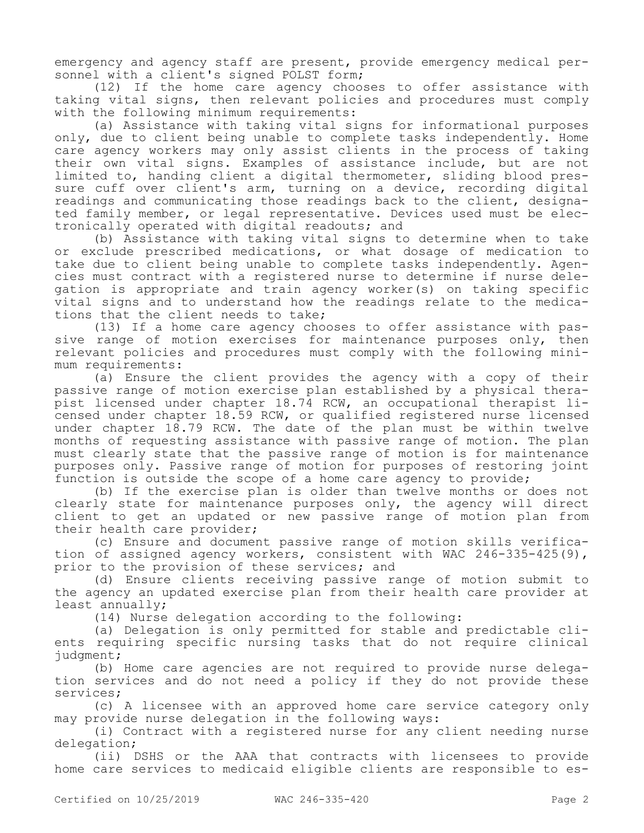emergency and agency staff are present, provide emergency medical personnel with a client's signed POLST form;

(12) If the home care agency chooses to offer assistance with taking vital signs, then relevant policies and procedures must comply with the following minimum requirements:

(a) Assistance with taking vital signs for informational purposes only, due to client being unable to complete tasks independently. Home care agency workers may only assist clients in the process of taking their own vital signs. Examples of assistance include, but are not limited to, handing client a digital thermometer, sliding blood pressure cuff over client's arm, turning on a device, recording digital readings and communicating those readings back to the client, designated family member, or legal representative. Devices used must be electronically operated with digital readouts; and

(b) Assistance with taking vital signs to determine when to take or exclude prescribed medications, or what dosage of medication to take due to client being unable to complete tasks independently. Agencies must contract with a registered nurse to determine if nurse delegation is appropriate and train agency worker(s) on taking specific vital signs and to understand how the readings relate to the medications that the client needs to take;

(13) If a home care agency chooses to offer assistance with passive range of motion exercises for maintenance purposes only, then relevant policies and procedures must comply with the following minimum requirements:

(a) Ensure the client provides the agency with a copy of their passive range of motion exercise plan established by a physical therapist licensed under chapter 18.74 RCW, an occupational therapist licensed under chapter 18.59 RCW, or qualified registered nurse licensed under chapter 18.79 RCW. The date of the plan must be within twelve months of requesting assistance with passive range of motion. The plan must clearly state that the passive range of motion is for maintenance purposes only. Passive range of motion for purposes of restoring joint function is outside the scope of a home care agency to provide;

(b) If the exercise plan is older than twelve months or does not clearly state for maintenance purposes only, the agency will direct client to get an updated or new passive range of motion plan from their health care provider;

(c) Ensure and document passive range of motion skills verification of assigned agency workers, consistent with WAC 246-335-425(9), prior to the provision of these services; and

(d) Ensure clients receiving passive range of motion submit to the agency an updated exercise plan from their health care provider at least annually;

(14) Nurse delegation according to the following:

(a) Delegation is only permitted for stable and predictable clients requiring specific nursing tasks that do not require clinical judgment;

(b) Home care agencies are not required to provide nurse delegation services and do not need a policy if they do not provide these services;

(c) A licensee with an approved home care service category only may provide nurse delegation in the following ways:

(i) Contract with a registered nurse for any client needing nurse delegation;

(ii) DSHS or the AAA that contracts with licensees to provide home care services to medicaid eligible clients are responsible to es